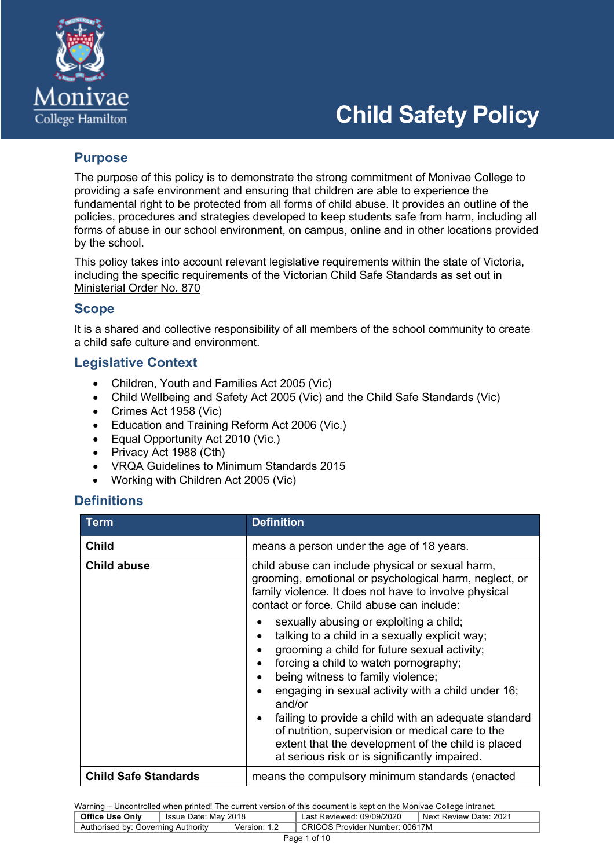

# **Child Safety Policy**

# **Purpose**

The purpose of this policy is to demonstrate the strong commitment of Monivae College to providing a safe environment and ensuring that children are able to experience the fundamental right to be protected from all forms of child abuse. It provides an outline of the policies, procedures and strategies developed to keep students safe from harm, including all forms of abuse in our school environment, on campus, online and in other locations provided by the school.

This policy takes into account relevant legislative requirements within the state of Victoria, including the specific requirements of the Victorian Child Safe Standards as set out in Ministerial Order No. 870

# **Scope**

It is a shared and collective responsibility of all members of the school community to create a child safe culture and environment.

# **Legislative Context**

- Children, Youth and Families Act 2005 (Vic)
- Child Wellbeing and Safety Act 2005 (Vic) and the Child Safe Standards (Vic)
- Crimes Act 1958 (Vic)
- Education and Training Reform Act 2006 (Vic.)
- Equal Opportunity Act 2010 (Vic.)
- Privacy Act 1988 (Cth)
- VRQA Guidelines to Minimum Standards 2015
- Working with Children Act 2005 (Vic)

# **Definitions**

| <b>Term</b>                 | <b>Definition</b>                                                                                                                                                                                                                                            |  |  |
|-----------------------------|--------------------------------------------------------------------------------------------------------------------------------------------------------------------------------------------------------------------------------------------------------------|--|--|
| <b>Child</b>                | means a person under the age of 18 years.                                                                                                                                                                                                                    |  |  |
| <b>Child abuse</b>          | child abuse can include physical or sexual harm,<br>grooming, emotional or psychological harm, neglect, or<br>family violence. It does not have to involve physical<br>contact or force. Child abuse can include:<br>sexually abusing or exploiting a child; |  |  |
|                             | talking to a child in a sexually explicit way;<br>grooming a child for future sexual activity;<br>forcing a child to watch pornography;<br>being witness to family violence;<br>engaging in sexual activity with a child under 16;<br>and/or                 |  |  |
|                             | failing to provide a child with an adequate standard<br>of nutrition, supervision or medical care to the<br>extent that the development of the child is placed<br>at serious risk or is significantly impaired.                                              |  |  |
| <b>Child Safe Standards</b> | means the compulsory minimum standards (enacted                                                                                                                                                                                                              |  |  |

| <b>Office Use Only</b>                             | l Issue Date: Mav 2018 |                                | Last Reviewed: 09/09/2020 | Next Review Date: 2021 |
|----------------------------------------------------|------------------------|--------------------------------|---------------------------|------------------------|
| Authorised by: Governing Authority<br>Version: 1.2 |                        | CRICOS Provider Number: 00617M |                           |                        |
|                                                    |                        |                                |                           |                        |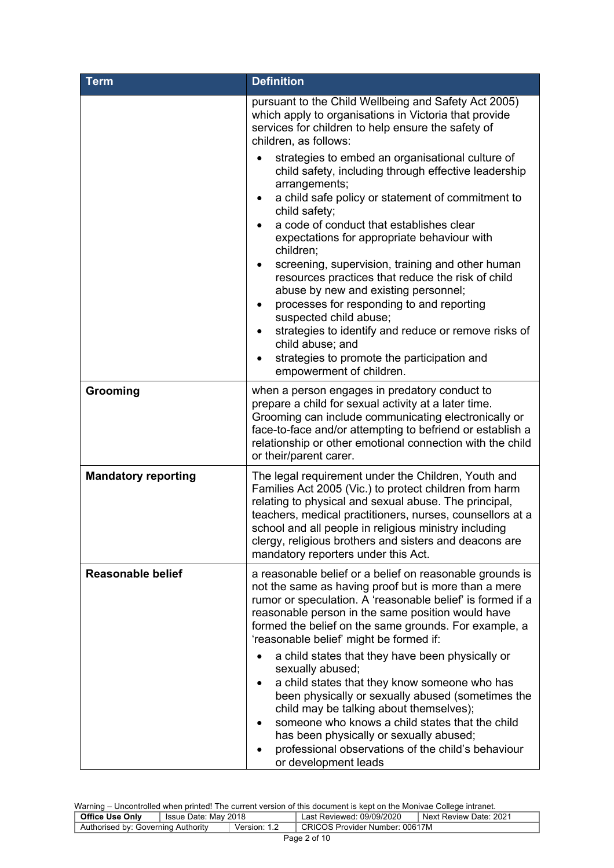| <b>Term</b>                | <b>Definition</b>                                                                                                                                                                                                                                                                                                                                                                                                                                                                                                                                                                                                                                                                                                |  |  |
|----------------------------|------------------------------------------------------------------------------------------------------------------------------------------------------------------------------------------------------------------------------------------------------------------------------------------------------------------------------------------------------------------------------------------------------------------------------------------------------------------------------------------------------------------------------------------------------------------------------------------------------------------------------------------------------------------------------------------------------------------|--|--|
|                            | pursuant to the Child Wellbeing and Safety Act 2005)<br>which apply to organisations in Victoria that provide<br>services for children to help ensure the safety of<br>children, as follows:                                                                                                                                                                                                                                                                                                                                                                                                                                                                                                                     |  |  |
|                            | strategies to embed an organisational culture of<br>child safety, including through effective leadership<br>arrangements;<br>a child safe policy or statement of commitment to<br>$\bullet$<br>child safety;<br>a code of conduct that establishes clear<br>expectations for appropriate behaviour with<br>children;<br>screening, supervision, training and other human<br>resources practices that reduce the risk of child<br>abuse by new and existing personnel;<br>processes for responding to and reporting<br>suspected child abuse;<br>strategies to identify and reduce or remove risks of<br>child abuse; and<br>strategies to promote the participation and<br>$\bullet$<br>empowerment of children. |  |  |
| Grooming                   | when a person engages in predatory conduct to<br>prepare a child for sexual activity at a later time.<br>Grooming can include communicating electronically or<br>face-to-face and/or attempting to befriend or establish a<br>relationship or other emotional connection with the child<br>or their/parent carer.                                                                                                                                                                                                                                                                                                                                                                                                |  |  |
| <b>Mandatory reporting</b> | The legal requirement under the Children, Youth and<br>Families Act 2005 (Vic.) to protect children from harm<br>relating to physical and sexual abuse. The principal,<br>teachers, medical practitioners, nurses, counsellors at a<br>school and all people in religious ministry including<br>clergy, religious brothers and sisters and deacons are<br>mandatory reporters under this Act.                                                                                                                                                                                                                                                                                                                    |  |  |
| <b>Reasonable belief</b>   | a reasonable belief or a belief on reasonable grounds is<br>not the same as having proof but is more than a mere<br>rumor or speculation. A 'reasonable belief' is formed if a<br>reasonable person in the same position would have<br>formed the belief on the same grounds. For example, a<br>'reasonable belief' might be formed if:                                                                                                                                                                                                                                                                                                                                                                          |  |  |
|                            | a child states that they have been physically or<br>sexually abused;<br>a child states that they know someone who has<br>been physically or sexually abused (sometimes the<br>child may be talking about themselves);<br>someone who knows a child states that the child<br>has been physically or sexually abused;<br>professional observations of the child's behaviour<br>or development leads                                                                                                                                                                                                                                                                                                                |  |  |

| <b>Office Use Only</b>             | ็ Issue Date: Mav 2018 |              | Last Reviewed: 09/09/2020      | Next Review Date: 2021 |
|------------------------------------|------------------------|--------------|--------------------------------|------------------------|
| Authorised by: Governing Authority |                        | Version: 1.2 | CRICOS Provider Number: 00617M |                        |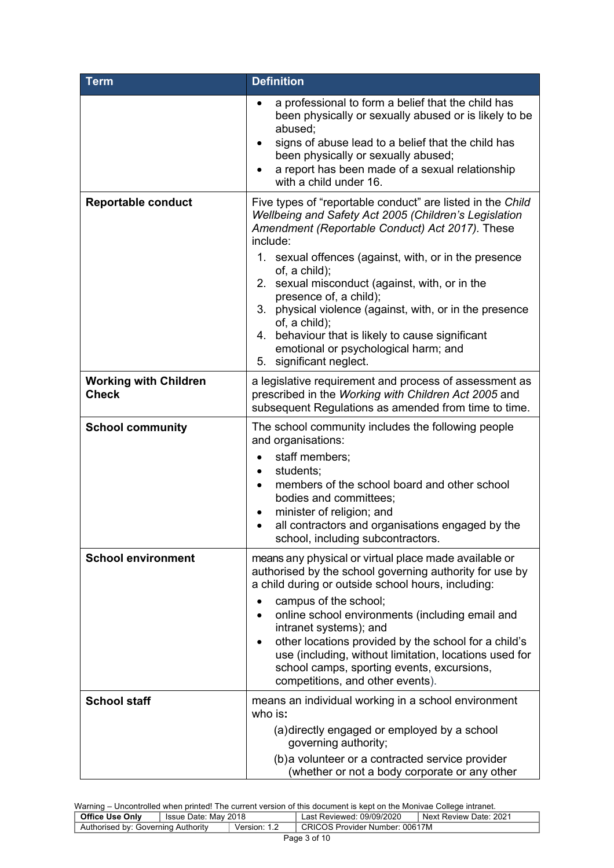| <b>Term</b>                                  | <b>Definition</b>                                                                                                                                                                                                                                                                                                                                                                                                                                                                                                                           |  |  |
|----------------------------------------------|---------------------------------------------------------------------------------------------------------------------------------------------------------------------------------------------------------------------------------------------------------------------------------------------------------------------------------------------------------------------------------------------------------------------------------------------------------------------------------------------------------------------------------------------|--|--|
|                                              | a professional to form a belief that the child has<br>been physically or sexually abused or is likely to be<br>abused;<br>signs of abuse lead to a belief that the child has<br>been physically or sexually abused;<br>a report has been made of a sexual relationship<br>with a child under 16.                                                                                                                                                                                                                                            |  |  |
| <b>Reportable conduct</b>                    | Five types of "reportable conduct" are listed in the Child<br>Wellbeing and Safety Act 2005 (Children's Legislation<br>Amendment (Reportable Conduct) Act 2017). These<br>include:<br>1. sexual offences (against, with, or in the presence<br>of, a child);<br>2. sexual misconduct (against, with, or in the<br>presence of, a child);<br>3. physical violence (against, with, or in the presence<br>of, a child);<br>4. behaviour that is likely to cause significant<br>emotional or psychological harm; and<br>5. significant neglect. |  |  |
| <b>Working with Children</b><br><b>Check</b> | a legislative requirement and process of assessment as<br>prescribed in the Working with Children Act 2005 and<br>subsequent Regulations as amended from time to time.                                                                                                                                                                                                                                                                                                                                                                      |  |  |
| <b>School community</b>                      | The school community includes the following people<br>and organisations:<br>staff members;<br>٠<br>students;<br>$\bullet$<br>members of the school board and other school<br>$\bullet$<br>bodies and committees;<br>minister of religion; and<br>all contractors and organisations engaged by the<br>school, including subcontractors.                                                                                                                                                                                                      |  |  |
| <b>School environment</b>                    | means any physical or virtual place made available or<br>authorised by the school governing authority for use by<br>a child during or outside school hours, including:<br>campus of the school;<br>online school environments (including email and<br>intranet systems); and<br>other locations provided by the school for a child's<br>use (including, without limitation, locations used for<br>school camps, sporting events, excursions,<br>competitions, and other events).                                                            |  |  |
| <b>School staff</b>                          | means an individual working in a school environment<br>who is:<br>(a) directly engaged or employed by a school<br>governing authority;<br>(b) a volunteer or a contracted service provider<br>(whether or not a body corporate or any other                                                                                                                                                                                                                                                                                                 |  |  |

| <b>Office Use Only</b>             | Issue Date: May 2018 |              | Last Reviewed: 09/09/2020      | Next Review Date: 2021 |
|------------------------------------|----------------------|--------------|--------------------------------|------------------------|
| Authorised by: Governing Authority |                      | Version: 1.2 | CRICOS Provider Number: 00617M |                        |
|                                    |                      |              |                                |                        |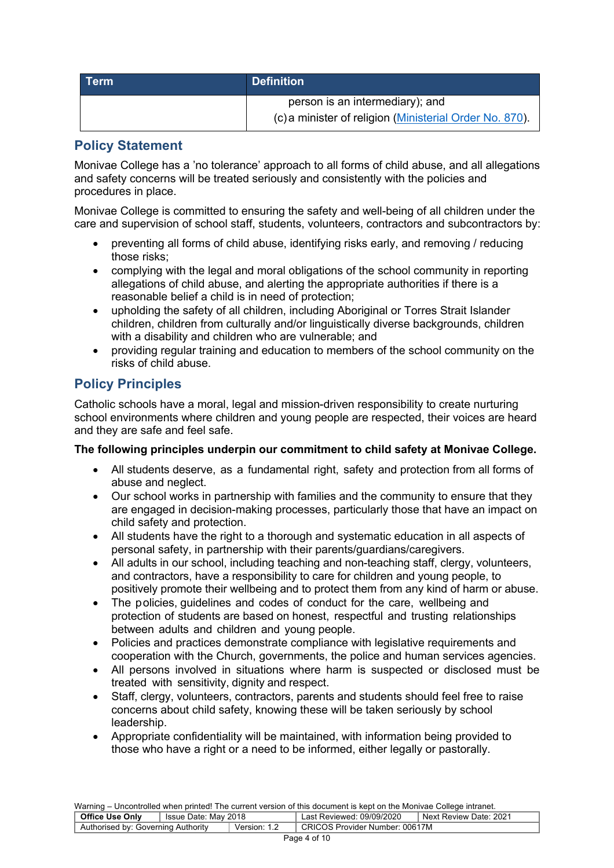| l Term | <b>Definition</b>                                       |  |
|--------|---------------------------------------------------------|--|
|        | person is an intermediary); and                         |  |
|        | (c) a minister of religion (Ministerial Order No. 870). |  |

# **Policy Statement**

Monivae College has a 'no tolerance' approach to all forms of child abuse, and all allegations and safety concerns will be treated seriously and consistently with the policies and procedures in place.

Monivae College is committed to ensuring the safety and well-being of all children under the care and supervision of school staff, students, volunteers, contractors and subcontractors by:

- preventing all forms of child abuse, identifying risks early, and removing / reducing those risks;
- complying with the legal and moral obligations of the school community in reporting allegations of child abuse, and alerting the appropriate authorities if there is a reasonable belief a child is in need of protection;
- upholding the safety of all children, including Aboriginal or Torres Strait Islander children, children from culturally and/or linguistically diverse backgrounds, children with a disability and children who are vulnerable; and
- providing regular training and education to members of the school community on the risks of child abuse.

# **Policy Principles**

Catholic schools have a moral, legal and mission-driven responsibility to create nurturing school environments where children and young people are respected, their voices are heard and they are safe and feel safe.

#### **The following principles underpin our commitment to child safety at Monivae College.**

- All students deserve, as a fundamental right, safety and protection from all forms of abuse and neglect.
- Our school works in partnership with families and the community to ensure that they are engaged in decision-making processes, particularly those that have an impact on child safety and protection.
- All students have the right to a thorough and systematic education in all aspects of personal safety, in partnership with their parents/guardians/caregivers.
- All adults in our school, including teaching and non-teaching staff, clergy, volunteers, and contractors, have a responsibility to care for children and young people, to positively promote their wellbeing and to protect them from any kind of harm or abuse.
- The policies, guidelines and codes of conduct for the care, wellbeing and protection of students are based on honest, respectful and trusting relationships between adults and children and young people.
- Policies and practices demonstrate compliance with legislative requirements and cooperation with the Church, governments, the police and human services agencies.
- All persons involved in situations where harm is suspected or disclosed must be treated with sensitivity, dignity and respect.
- Staff, clergy, volunteers, contractors, parents and students should feel free to raise concerns about child safety, knowing these will be taken seriously by school leadership.
- Appropriate confidentiality will be maintained, with information being provided to those who have a right or a need to be informed, either legally or pastorally.

| <b>Office Use Only</b>             | Issue Date: Mav 2018 |          | Last Reviewed: 09/09/2020             | Next Review Date: 2021 |
|------------------------------------|----------------------|----------|---------------------------------------|------------------------|
| Authorised by: Governing Authority |                      | Version: | <b>CRICOS Provider Number: 00617M</b> |                        |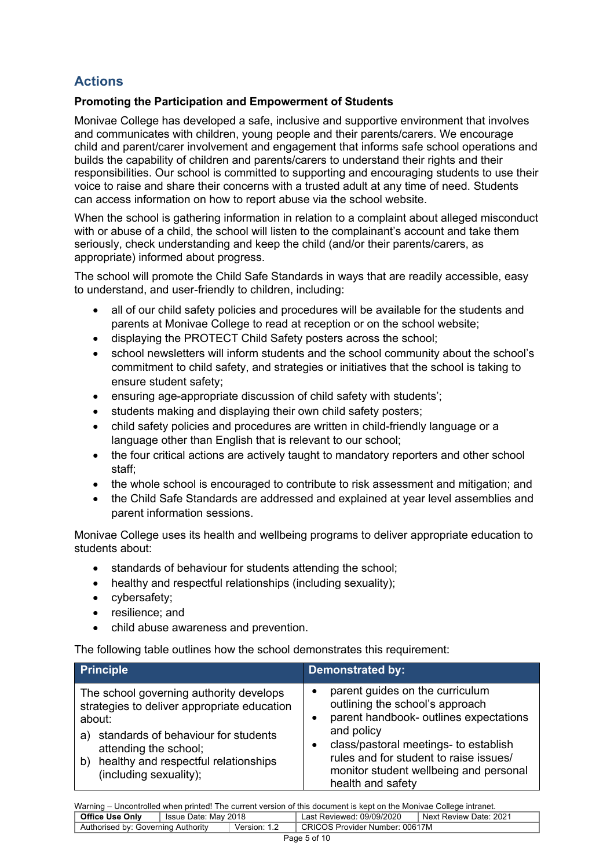# **Actions**

## **Promoting the Participation and Empowerment of Students**

Monivae College has developed a safe, inclusive and supportive environment that involves and communicates with children, young people and their parents/carers. We encourage child and parent/carer involvement and engagement that informs safe school operations and builds the capability of children and parents/carers to understand their rights and their responsibilities. Our school is committed to supporting and encouraging students to use their voice to raise and share their concerns with a trusted adult at any time of need. Students can access information on how to report abuse via the school website.

When the school is gathering information in relation to a complaint about alleged misconduct with or abuse of a child, the school will listen to the complainant's account and take them seriously, check understanding and keep the child (and/or their parents/carers, as appropriate) informed about progress.

The school will promote the Child Safe Standards in ways that are readily accessible, easy to understand, and user-friendly to children, including:

- all of our child safety policies and procedures will be available for the students and parents at Monivae College to read at reception or on the school website;
- displaying the PROTECT Child Safety posters across the school;
- school newsletters will inform students and the school community about the school's commitment to child safety, and strategies or initiatives that the school is taking to ensure student safety;
- ensuring age-appropriate discussion of child safety with students';
- students making and displaying their own child safety posters;
- child safety policies and procedures are written in child-friendly language or a language other than English that is relevant to our school;
- the four critical actions are actively taught to mandatory reporters and other school staff;
- the whole school is encouraged to contribute to risk assessment and mitigation; and
- the Child Safe Standards are addressed and explained at year level assemblies and parent information sessions.

Monivae College uses its health and wellbeing programs to deliver appropriate education to students about:

- standards of behaviour for students attending the school;
- healthy and respectful relationships (including sexuality):
- cybersafety;
- resilience; and
- child abuse awareness and prevention.

The following table outlines how the school demonstrates this requirement:

| <b>Principle</b>                                                                                                                                                                                                                               | <b>Demonstrated by:</b>                                                                                                                                                                                                                                                      |
|------------------------------------------------------------------------------------------------------------------------------------------------------------------------------------------------------------------------------------------------|------------------------------------------------------------------------------------------------------------------------------------------------------------------------------------------------------------------------------------------------------------------------------|
| The school governing authority develops<br>strategies to deliver appropriate education<br>about:<br>standards of behaviour for students<br>a)<br>attending the school;<br>healthy and respectful relationships<br>b)<br>(including sexuality); | parent guides on the curriculum<br>outlining the school's approach<br>parent handbook- outlines expectations<br>and policy<br>class/pastoral meetings- to establish<br>rules and for student to raise issues/<br>monitor student wellbeing and personal<br>health and safety |

| <b>Office Use Only</b>                             | ี Issue Date: Mav 2018 |                                | Last Reviewed: 09/09/2020 | Next Review Date: 2021 |
|----------------------------------------------------|------------------------|--------------------------------|---------------------------|------------------------|
| Authorised by: Governing Authority<br>Version: 1.2 |                        | CRICOS Provider Number: 00617M |                           |                        |
|                                                    |                        |                                |                           |                        |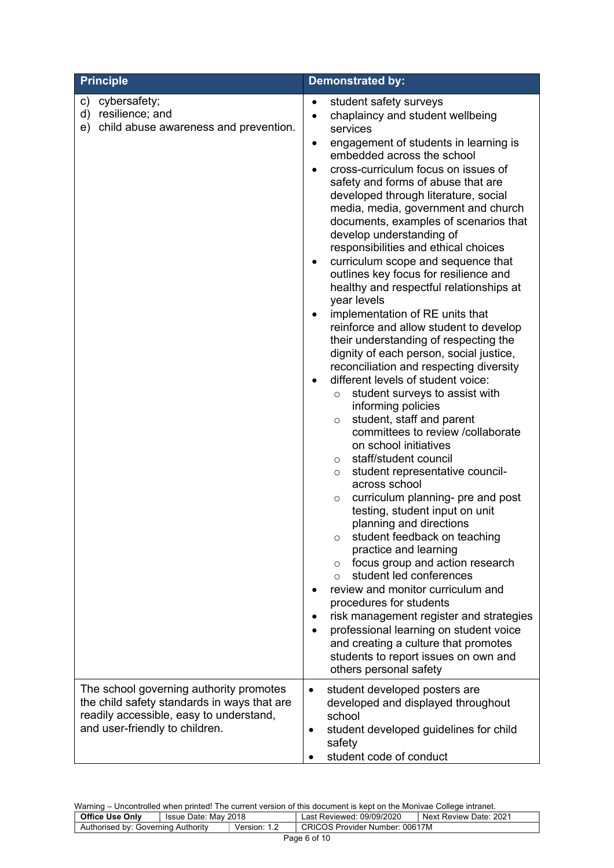| <b>Principle</b>                                                                                                                                                    | <b>Demonstrated by:</b>                                                                                                                                                                                                                                                                                                                                                                                                                                                                                                                                                                                                                                                                                                                                                                                                                                                                                                                                                                                                                                                                                                                                                                                                                                                                                                                                                                                                                                                                                                                                                                                                                                                  |
|---------------------------------------------------------------------------------------------------------------------------------------------------------------------|--------------------------------------------------------------------------------------------------------------------------------------------------------------------------------------------------------------------------------------------------------------------------------------------------------------------------------------------------------------------------------------------------------------------------------------------------------------------------------------------------------------------------------------------------------------------------------------------------------------------------------------------------------------------------------------------------------------------------------------------------------------------------------------------------------------------------------------------------------------------------------------------------------------------------------------------------------------------------------------------------------------------------------------------------------------------------------------------------------------------------------------------------------------------------------------------------------------------------------------------------------------------------------------------------------------------------------------------------------------------------------------------------------------------------------------------------------------------------------------------------------------------------------------------------------------------------------------------------------------------------------------------------------------------------|
| cybersafety;<br>c)<br>d)<br>resilience; and<br>child abuse awareness and prevention.<br>e)                                                                          | student safety surveys<br>$\bullet$<br>chaplaincy and student wellbeing<br>$\bullet$<br>services<br>engagement of students in learning is<br>٠<br>embedded across the school<br>cross-curriculum focus on issues of<br>safety and forms of abuse that are<br>developed through literature, social<br>media, media, government and church<br>documents, examples of scenarios that<br>develop understanding of<br>responsibilities and ethical choices<br>curriculum scope and sequence that<br>٠<br>outlines key focus for resilience and<br>healthy and respectful relationships at<br>year levels<br>implementation of RE units that<br>$\bullet$<br>reinforce and allow student to develop<br>their understanding of respecting the<br>dignity of each person, social justice,<br>reconciliation and respecting diversity<br>different levels of student voice:<br>student surveys to assist with<br>$\circ$<br>informing policies<br>student, staff and parent<br>$\circ$<br>committees to review /collaborate<br>on school initiatives<br>staff/student council<br>$\circ$<br>student representative council-<br>$\circ$<br>across school<br>curriculum planning- pre and post<br>$\circ$<br>testing, student input on unit<br>planning and directions<br>student feedback on teaching<br>practice and learning<br>focus group and action research<br>$\circ$<br>student led conferences<br>$\Omega$<br>review and monitor curriculum and<br>procedures for students<br>risk management register and strategies<br>professional learning on student voice<br>and creating a culture that promotes<br>students to report issues on own and<br>others personal safety |
| The school governing authority promotes<br>the child safety standards in ways that are<br>readily accessible, easy to understand,<br>and user-friendly to children. | student developed posters are<br>$\bullet$<br>developed and displayed throughout<br>school<br>student developed guidelines for child<br>safety<br>student code of conduct                                                                                                                                                                                                                                                                                                                                                                                                                                                                                                                                                                                                                                                                                                                                                                                                                                                                                                                                                                                                                                                                                                                                                                                                                                                                                                                                                                                                                                                                                                |

| <b>Office Use Only</b>             | Issue Date: May 2018 |          | :09/09/2020<br>∟ast Reviewed:     | .202 <sup>4</sup><br>Next Review Date: |
|------------------------------------|----------------------|----------|-----------------------------------|----------------------------------------|
| Authorised by: Governing Authority |                      | Version: | Provider Number: 00617M<br>CRICOS |                                        |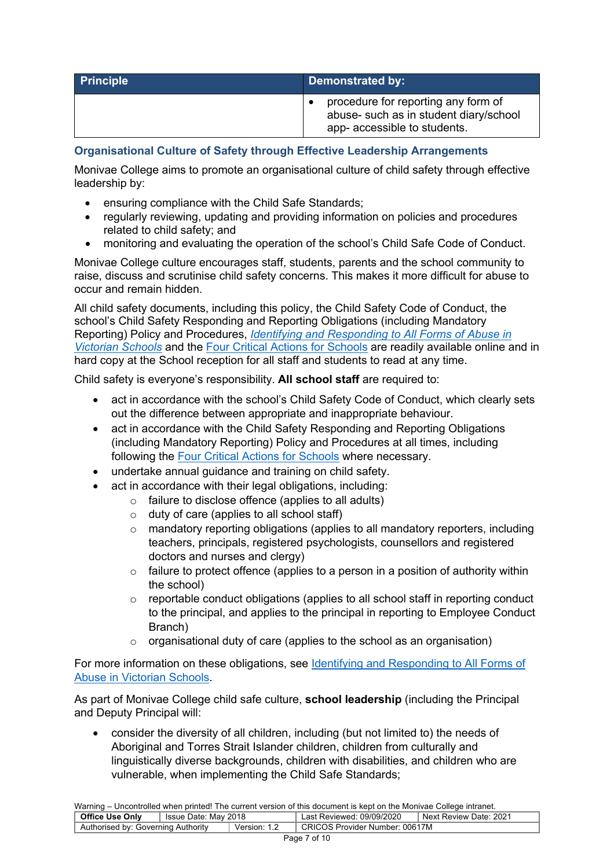| Principle | Demonstrated by:                                                                                              |  |
|-----------|---------------------------------------------------------------------------------------------------------------|--|
|           | procedure for reporting any form of<br>abuse- such as in student diary/school<br>app- accessible to students. |  |

## **Organisational Culture of Safety through Effective Leadership Arrangements**

Monivae College aims to promote an organisational culture of child safety through effective leadership by:

- ensuring compliance with the Child Safe Standards;
- regularly reviewing, updating and providing information on policies and procedures related to child safety; and
- monitoring and evaluating the operation of the school's Child Safe Code of Conduct.

Monivae College culture encourages staff, students, parents and the school community to raise, discuss and scrutinise child safety concerns. This makes it more difficult for abuse to occur and remain hidden.

All child safety documents, including this policy, the Child Safety Code of Conduct, the school's Child Safety Responding and Reporting Obligations (including Mandatory Reporting) Policy and Procedures, *Identifying and Responding to All Forms of Abuse in Victorian Schools* and the Four Critical Actions for Schools are readily available online and in hard copy at the School reception for all staff and students to read at any time.

Child safety is everyone's responsibility. **All school staff** are required to:

- act in accordance with the school's Child Safety Code of Conduct, which clearly sets out the difference between appropriate and inappropriate behaviour.
- act in accordance with the Child Safety Responding and Reporting Obligations (including Mandatory Reporting) Policy and Procedures at all times, including following the Four Critical Actions for Schools where necessary.
- undertake annual guidance and training on child safety.
- act in accordance with their legal obligations, including:
	- o failure to disclose offence (applies to all adults)
		- o duty of care (applies to all school staff)
		- o mandatory reporting obligations (applies to all mandatory reporters, including teachers, principals, registered psychologists, counsellors and registered doctors and nurses and clergy)
		- $\circ$  failure to protect offence (applies to a person in a position of authority within the school)
		- $\circ$  reportable conduct obligations (applies to all school staff in reporting conduct to the principal, and applies to the principal in reporting to Employee Conduct Branch)
		- $\circ$  organisational duty of care (applies to the school as an organisation)

For more information on these obligations, see Identifying and Responding to All Forms of Abuse in Victorian Schools.

As part of Monivae College child safe culture, **school leadership** (including the Principal and Deputy Principal will:

• consider the diversity of all children, including (but not limited to) the needs of Aboriginal and Torres Strait Islander children, children from culturally and linguistically diverse backgrounds, children with disabilities, and children who are vulnerable, when implementing the Child Safe Standards;

Warning – Uncontrolled when printed! The current version of this document is kept on the Monivae College intranet.

| <b>Office Use Only</b>             | ່ Issue Date: Mav 2018 |          | Last Reviewed: 09/09/2020             | Next Review Date: 2021 |
|------------------------------------|------------------------|----------|---------------------------------------|------------------------|
| Authorised by: Governing Authority |                        | version: | <b>CRICOS Provider Number: 00617M</b> |                        |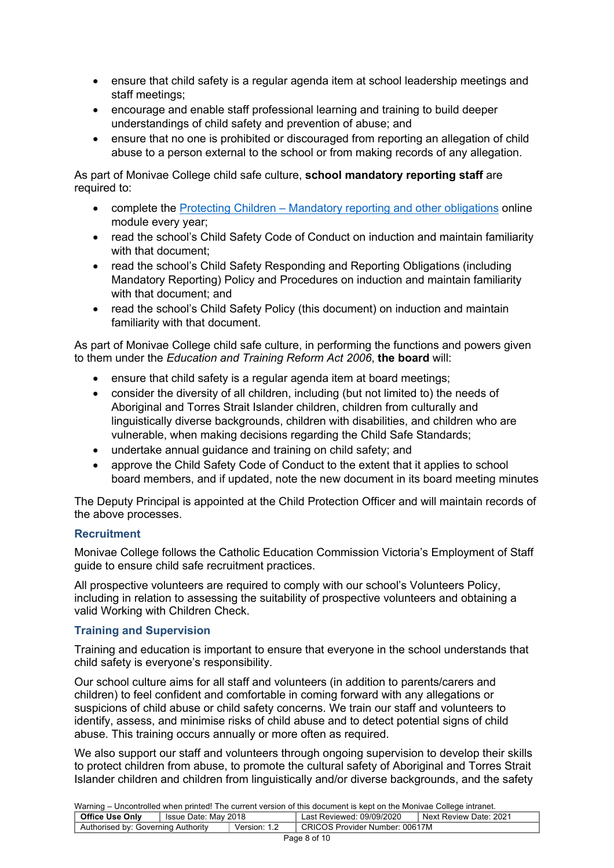- ensure that child safety is a regular agenda item at school leadership meetings and staff meetings;
- encourage and enable staff professional learning and training to build deeper understandings of child safety and prevention of abuse; and
- ensure that no one is prohibited or discouraged from reporting an allegation of child abuse to a person external to the school or from making records of any allegation.

As part of Monivae College child safe culture, **school mandatory reporting staff** are required to:

- complete the Protecting Children Mandatory reporting and other obligations online module every year;
- read the school's Child Safety Code of Conduct on induction and maintain familiarity with that document:
- read the school's Child Safety Responding and Reporting Obligations (including Mandatory Reporting) Policy and Procedures on induction and maintain familiarity with that document; and
- read the school's Child Safety Policy (this document) on induction and maintain familiarity with that document.

As part of Monivae College child safe culture, in performing the functions and powers given to them under the *Education and Training Reform Act 2006*, **the board** will:

- ensure that child safety is a regular agenda item at board meetings;
- consider the diversity of all children, including (but not limited to) the needs of Aboriginal and Torres Strait Islander children, children from culturally and linguistically diverse backgrounds, children with disabilities, and children who are vulnerable, when making decisions regarding the Child Safe Standards;
- undertake annual guidance and training on child safety; and
- approve the Child Safety Code of Conduct to the extent that it applies to school board members, and if updated, note the new document in its board meeting minutes

The Deputy Principal is appointed at the Child Protection Officer and will maintain records of the above processes.

#### **Recruitment**

Monivae College follows the Catholic Education Commission Victoria's Employment of Staff guide to ensure child safe recruitment practices.

All prospective volunteers are required to comply with our school's Volunteers Policy, including in relation to assessing the suitability of prospective volunteers and obtaining a valid Working with Children Check.

#### **Training and Supervision**

Training and education is important to ensure that everyone in the school understands that child safety is everyone's responsibility.

Our school culture aims for all staff and volunteers (in addition to parents/carers and children) to feel confident and comfortable in coming forward with any allegations or suspicions of child abuse or child safety concerns. We train our staff and volunteers to identify, assess, and minimise risks of child abuse and to detect potential signs of child abuse. This training occurs annually or more often as required.

We also support our staff and volunteers through ongoing supervision to develop their skills to protect children from abuse, to promote the cultural safety of Aboriginal and Torres Strait Islander children and children from linguistically and/or diverse backgrounds, and the safety

| <b>Training</b> Choona once mion printed. The carrent reference or and decament to hopt on and moment concept intranct. |                       |                                |                           |                        |  |
|-------------------------------------------------------------------------------------------------------------------------|-----------------------|--------------------------------|---------------------------|------------------------|--|
| <b>Office Use Only</b>                                                                                                  | Signal Super Super 18 |                                | Last Reviewed: 09/09/2020 | Next Review Date: 2021 |  |
| Authorised by: Governing Authority<br>Version: 1.2                                                                      |                       | CRICOS Provider Number: 00617M |                           |                        |  |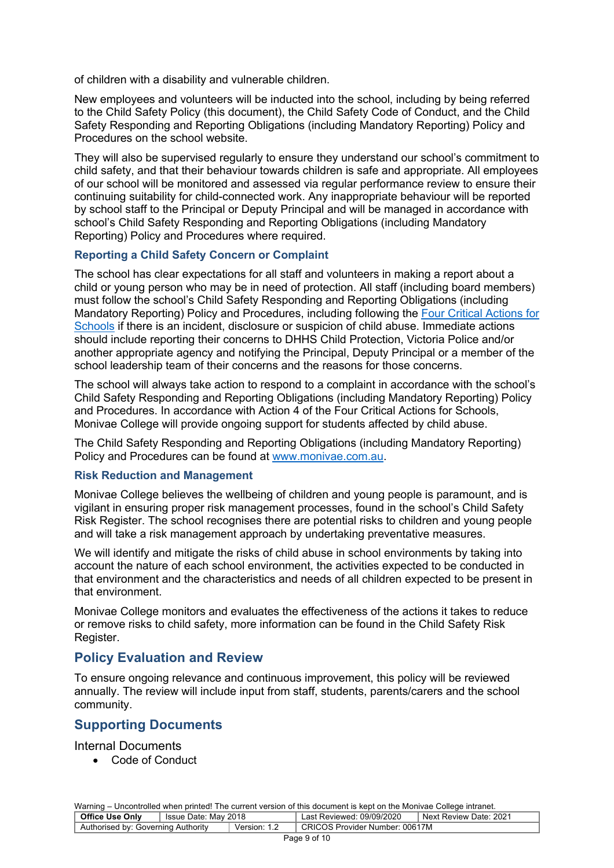of children with a disability and vulnerable children.

New employees and volunteers will be inducted into the school, including by being referred to the Child Safety Policy (this document), the Child Safety Code of Conduct, and the Child Safety Responding and Reporting Obligations (including Mandatory Reporting) Policy and Procedures on the school website.

They will also be supervised regularly to ensure they understand our school's commitment to child safety, and that their behaviour towards children is safe and appropriate. All employees of our school will be monitored and assessed via regular performance review to ensure their continuing suitability for child-connected work. Any inappropriate behaviour will be reported by school staff to the Principal or Deputy Principal and will be managed in accordance with school's Child Safety Responding and Reporting Obligations (including Mandatory Reporting) Policy and Procedures where required.

#### **Reporting a Child Safety Concern or Complaint**

The school has clear expectations for all staff and volunteers in making a report about a child or young person who may be in need of protection. All staff (including board members) must follow the school's Child Safety Responding and Reporting Obligations (including Mandatory Reporting) Policy and Procedures, including following the Four Critical Actions for Schools if there is an incident, disclosure or suspicion of child abuse. Immediate actions should include reporting their concerns to DHHS Child Protection, Victoria Police and/or another appropriate agency and notifying the Principal, Deputy Principal or a member of the school leadership team of their concerns and the reasons for those concerns.

The school will always take action to respond to a complaint in accordance with the school's Child Safety Responding and Reporting Obligations (including Mandatory Reporting) Policy and Procedures. In accordance with Action 4 of the Four Critical Actions for Schools, Monivae College will provide ongoing support for students affected by child abuse.

The Child Safety Responding and Reporting Obligations (including Mandatory Reporting) Policy and Procedures can be found at www.monivae.com.au.

#### **Risk Reduction and Management**

Monivae College believes the wellbeing of children and young people is paramount, and is vigilant in ensuring proper risk management processes, found in the school's Child Safety Risk Register. The school recognises there are potential risks to children and young people and will take a risk management approach by undertaking preventative measures.

We will identify and mitigate the risks of child abuse in school environments by taking into account the nature of each school environment, the activities expected to be conducted in that environment and the characteristics and needs of all children expected to be present in that environment.

Monivae College monitors and evaluates the effectiveness of the actions it takes to reduce or remove risks to child safety, more information can be found in the Child Safety Risk Register.

#### **Policy Evaluation and Review**

To ensure ongoing relevance and continuous improvement, this policy will be reviewed annually. The review will include input from staff, students, parents/carers and the school community.

#### **Supporting Documents**

Internal Documents

• Code of Conduct

| <b>Office Use Only</b>             | Sue Date: May 2018 |              | Last Reviewed: 09/09/2020      | Next Review Date: 2021 |
|------------------------------------|--------------------|--------------|--------------------------------|------------------------|
| Authorised by: Governing Authority |                    | Version: 1.2 | CRICOS Provider Number: 00617M |                        |